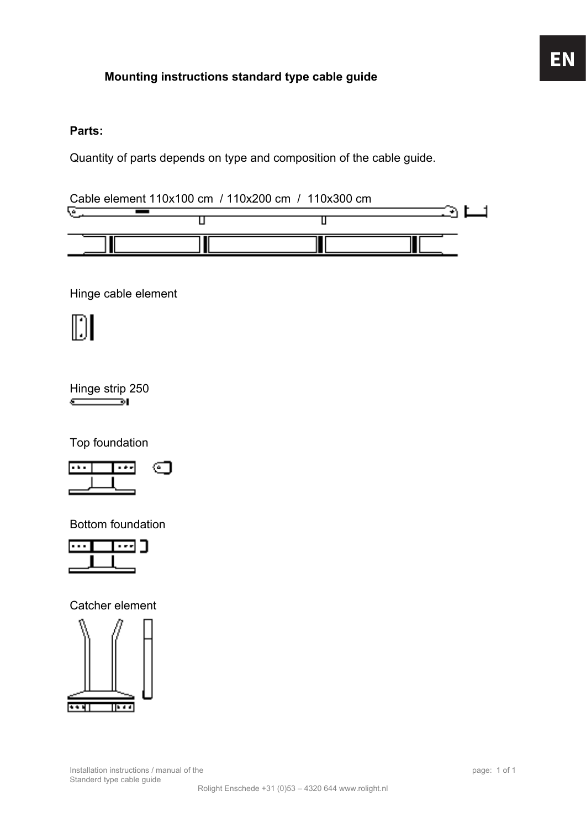#### **Parts:**

Quantity of parts depends on type and composition of the cable guide.

Cable element 110x100 cm / 110x200 cm / 110x300 cm



Hinge cable element

## $\|\hspace{0.1cm}\|$

Hinge strip 250  $\sqrt{2}$ 

Top foundation



Bottom foundation



Catcher element

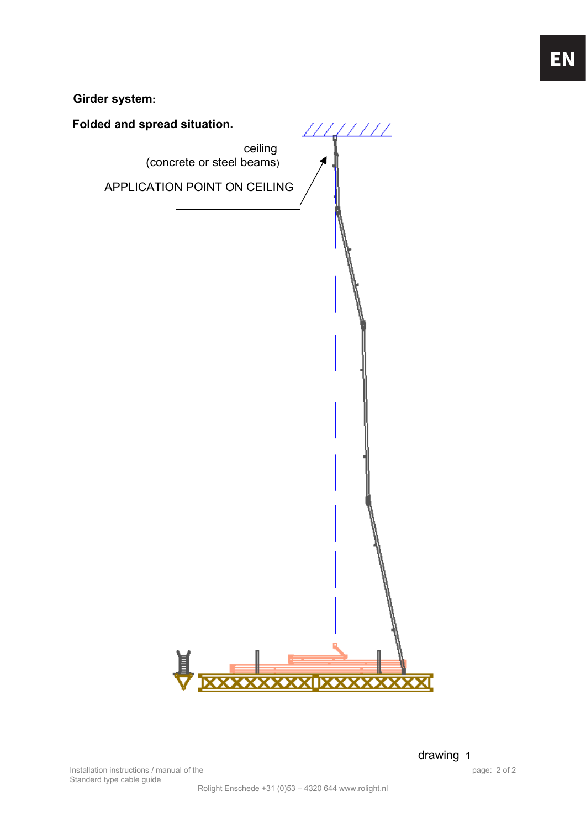**Girder system:**



Installation instructions / manual of the page: 2 of 2 Standerd type cable guide

drawing 1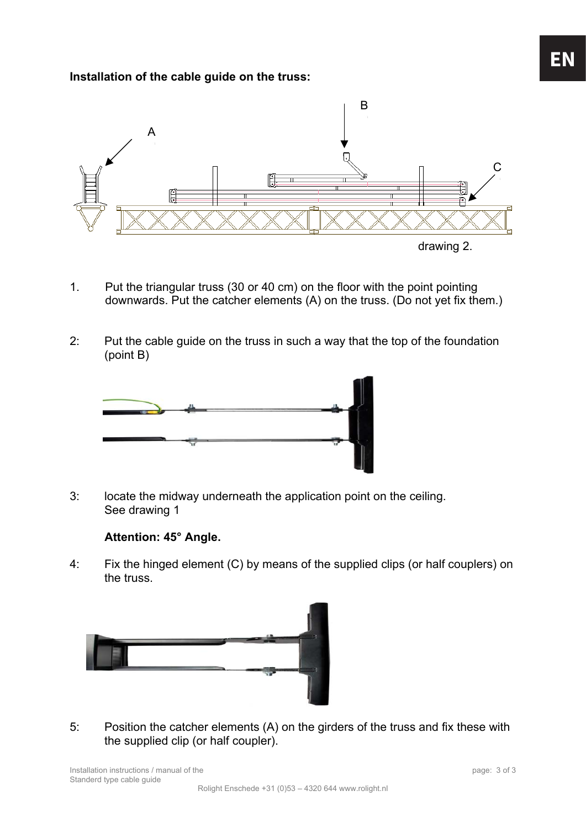#### **Installation of the cable guide on the truss:**



- 1. Put the triangular truss (30 or 40 cm) on the floor with the point pointing downwards. Put the catcher elements (A) on the truss. (Do not yet fix them.)
- 2: Put the cable guide on the truss in such a way that the top of the foundation (point B)



3: locate the midway underneath the application point on the ceiling. See drawing 1

#### **Attention: 45° Angle.**

4: Fix the hinged element (C) by means of the supplied clips (or half couplers) on the truss.



5: Position the catcher elements (A) on the girders of the truss and fix these with the supplied clip (or half coupler).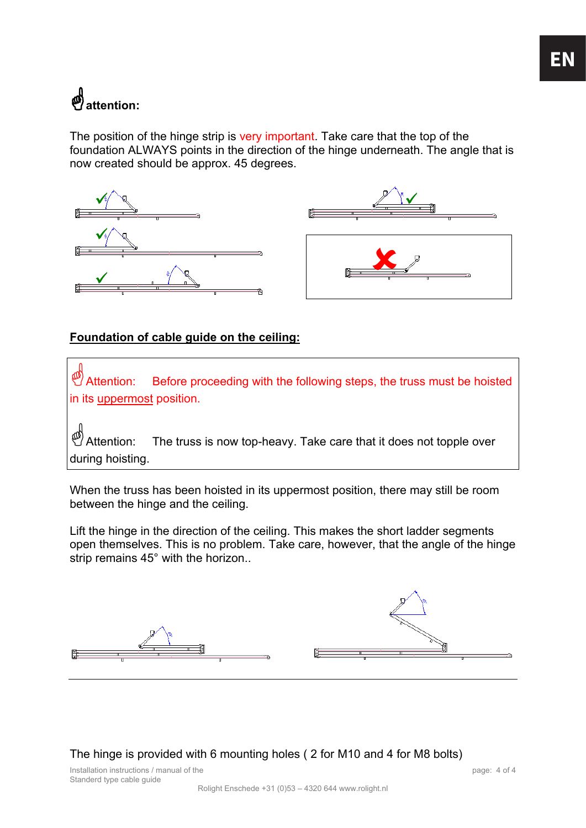### \***attention:**

The position of the hinge strip is very important. Take care that the top of the foundation ALWAYS points in the direction of the hinge underneath. The angle that is now created should be approx. 45 degrees.







#### **Foundation of cable guide on the ceiling:**

Attention: Before proceeding with the following steps, the truss must be hoisted in its uppermost position.

Attention: The truss is now top-heavy. Take care that it does not topple over during hoisting.

When the truss has been hoisted in its uppermost position, there may still be room between the hinge and the ceiling.

Lift the hinge in the direction of the ceiling. This makes the short ladder segments open themselves. This is no problem. Take care, however, that the angle of the hinge strip remains 45° with the horizon..



The hinge is provided with 6 mounting holes ( 2 for M10 and 4 for M8 bolts)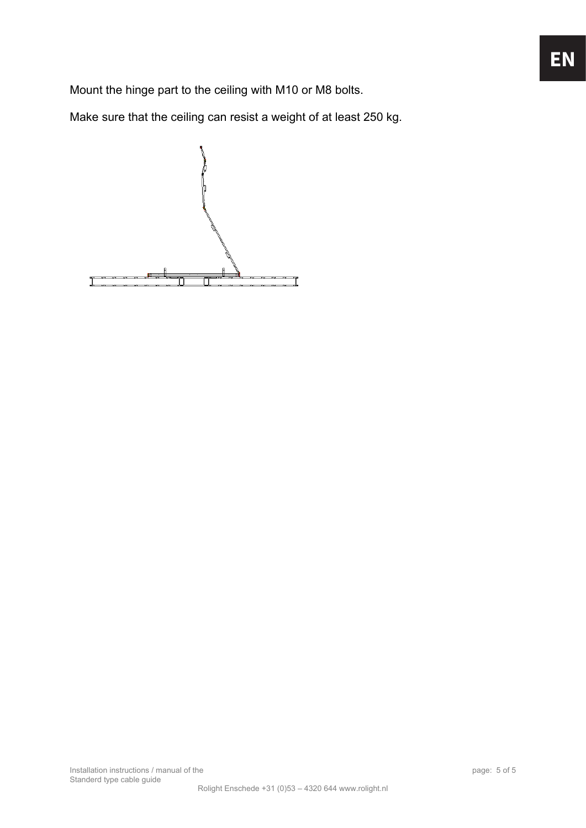Mount the hinge part to the ceiling with M10 or M8 bolts.

Make sure that the ceiling can resist a weight of at least 250 kg.

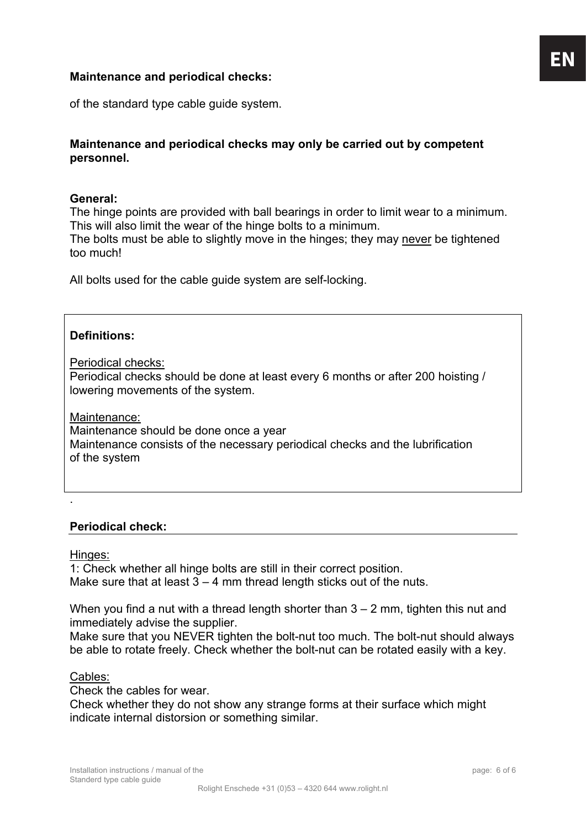#### **Maintenance and periodical checks:**

of the standard type cable guide system.

#### **Maintenance and periodical checks may only be carried out by competent personnel.**

#### **General:**

The hinge points are provided with ball bearings in order to limit wear to a minimum. This will also limit the wear of the hinge bolts to a minimum. The bolts must be able to slightly move in the hinges; they may never be tightened too much!

All bolts used for the cable guide system are self-locking.

#### **Definitions:**

Periodical checks:

Periodical checks should be done at least every 6 months or after 200 hoisting / lowering movements of the system.

Maintenance:

Maintenance should be done once a year Maintenance consists of the necessary periodical checks and the lubrification of the system

#### **Periodical check:**

Hinges:

.

1: Check whether all hinge bolts are still in their correct position. Make sure that at least  $3 - 4$  mm thread length sticks out of the nuts.

When you find a nut with a thread length shorter than  $3 - 2$  mm, tighten this nut and immediately advise the supplier.

Make sure that you NEVER tighten the bolt-nut too much. The bolt-nut should always be able to rotate freely. Check whether the bolt-nut can be rotated easily with a key.

#### Cables:

Check the cables for wear.

Check whether they do not show any strange forms at their surface which might indicate internal distorsion or something similar.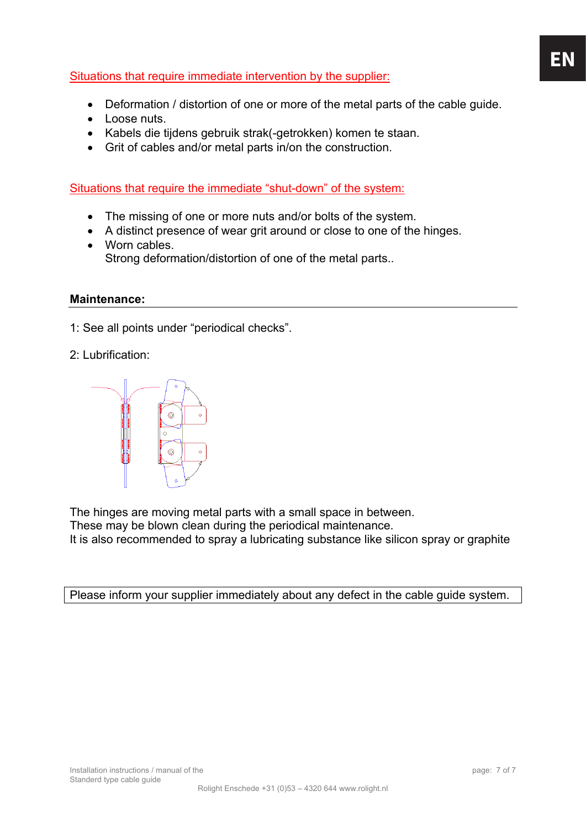#### Situations that require immediate intervention by the supplier:

- Deformation / distortion of one or more of the metal parts of the cable guide.
- Loose nuts.
- Kabels die tijdens gebruik strak(-getrokken) komen te staan.
- Grit of cables and/or metal parts in/on the construction.

Situations that require the immediate "shut-down" of the system:

- The missing of one or more nuts and/or bolts of the system.
- A distinct presence of wear grit around or close to one of the hinges.
- Worn cables. Strong deformation/distortion of one of the metal parts..

#### **Maintenance:**

1: See all points under "periodical checks".

2: Lubrification:



The hinges are moving metal parts with a small space in between.

These may be blown clean during the periodical maintenance.

It is also recommended to spray a lubricating substance like silicon spray or graphite

Please inform your supplier immediately about any defect in the cable guide system.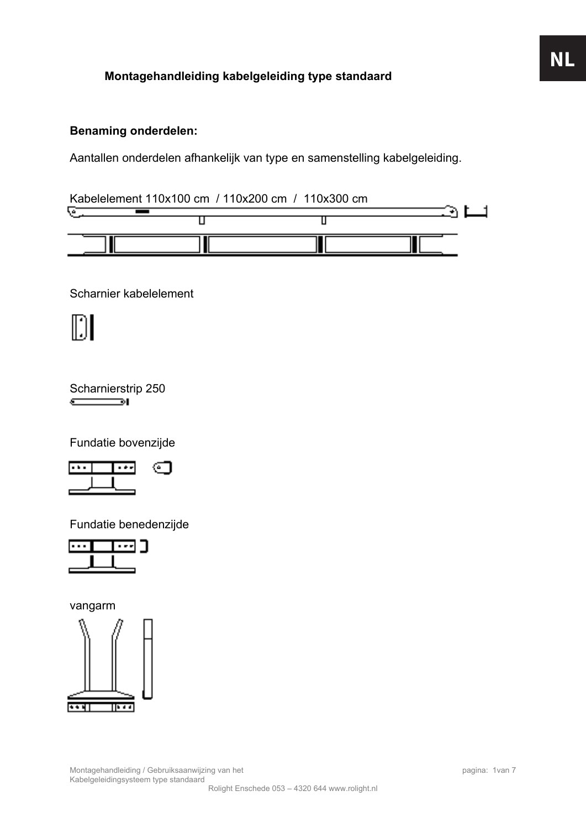#### **Montagehandleiding kabelgeleiding type standaard**

#### **Benaming onderdelen:**

Aantallen onderdelen afhankelijk van type en samenstelling kabelgeleiding.

Kabelelement 110x100 cm / 110x200 cm / 110x300 cm



Scharnier kabelelement

M

Scharnierstrip 250  $\sqrt{2}$ 

Fundatie bovenzijde



Fundatie benedenzijde



vangarm

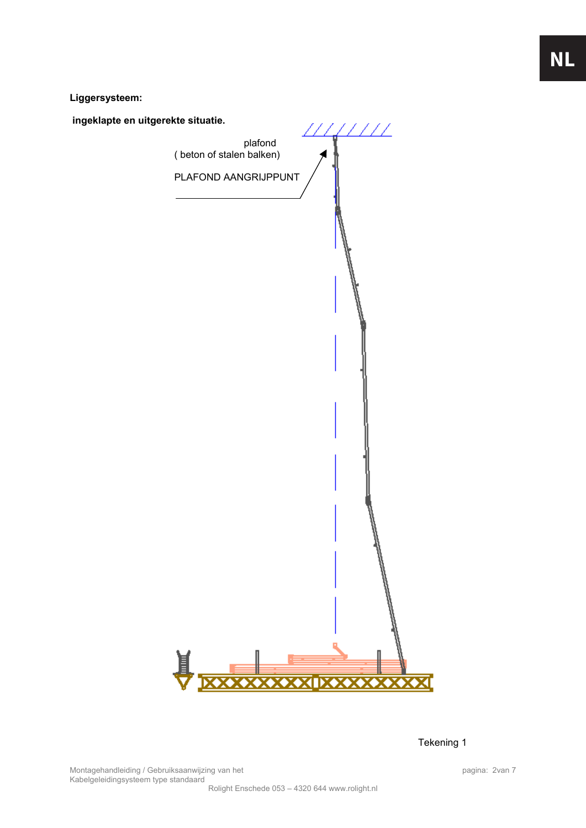**Liggersysteem:** 

 **ingeklapte en uitgerekte situatie.**   $\mathcal{U}$ ///// plafond ( beton of stalen balken) PLAFOND AANGRIJPPUNT

Tekening 1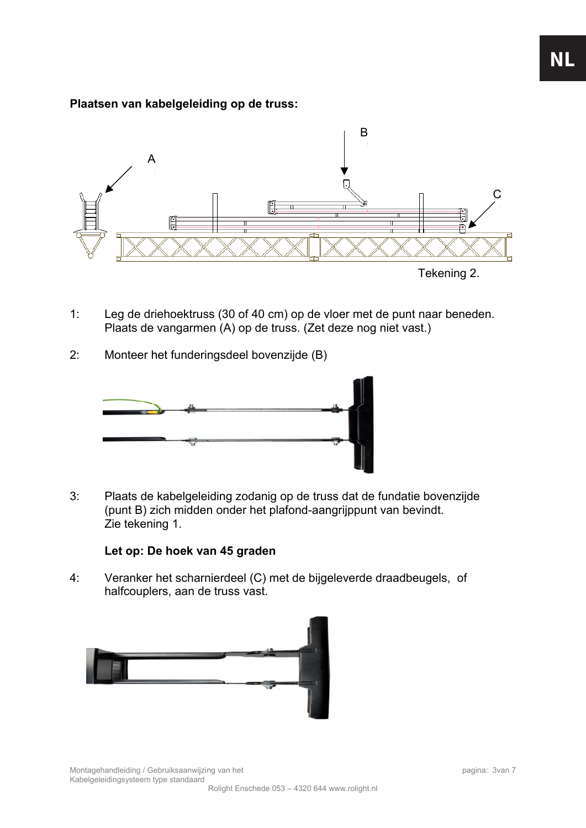#### **Plaatsen van kabelgeleiding op de truss:**



- 1: Leg de driehoektruss (30 of 40 cm) op de vloer met de punt naar beneden. Plaats de vangarmen (A) op de truss. (Zet deze nog niet vast.)
- 2: Monteer het funderingsdeel bovenzijde (B)



3: Plaats de kabelgeleiding zodanig op de truss dat de fundatie bovenzijde (punt B) zich midden onder het plafond-aangrijppunt van bevindt. Zie tekening 1.

#### **Let op: De hoek van 45 graden**

4: Veranker het scharnierdeel (C) met de bijgeleverde draadbeugels, of halfcouplers, aan de truss vast.

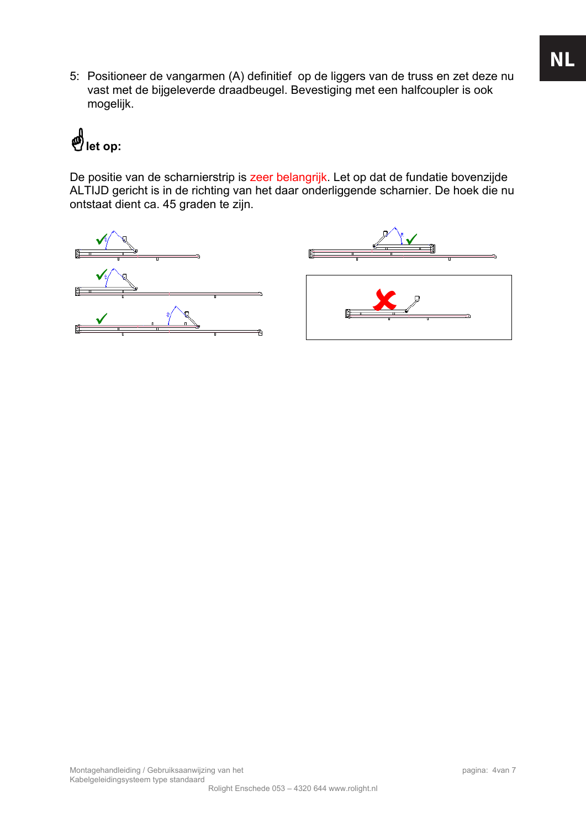5: Positioneer de vangarmen (A) definitief op de liggers van de truss en zet deze nu vast met de bijgeleverde draadbeugel. Bevestiging met een halfcoupler is ook mogelijk.

# \***let op:**

De positie van de scharnierstrip is zeer belangrijk. Let op dat de fundatie bovenzijde ALTIJD gericht is in de richting van het daar onderliggende scharnier. De hoek die nu ontstaat dient ca. 45 graden te zijn.

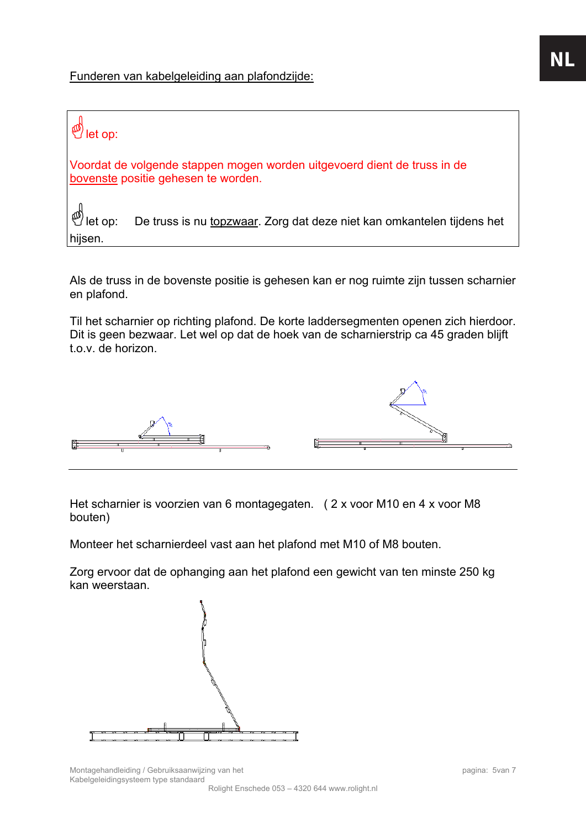Funderen van kabelgeleiding aan plafondzijde:

### $\overset{\text{\tiny{(1)}}}{\rightarrow}$  let op:

Voordat de volgende stappen mogen worden uitgevoerd dient de truss in de bovenste positie gehesen te worden.

let op: De truss is nu topzwaar. Zorg dat deze niet kan omkantelen tijdens het hijsen.

Als de truss in de bovenste positie is gehesen kan er nog ruimte zijn tussen scharnier en plafond.

Til het scharnier op richting plafond. De korte laddersegmenten openen zich hierdoor. Dit is geen bezwaar. Let wel op dat de hoek van de scharnierstrip ca 45 graden blijft t.o.v. de horizon.



Het scharnier is voorzien van 6 montagegaten. ( 2 x voor M10 en 4 x voor M8 bouten)

Monteer het scharnierdeel vast aan het plafond met M10 of M8 bouten.

Zorg ervoor dat de ophanging aan het plafond een gewicht van ten minste 250 kg kan weerstaan.

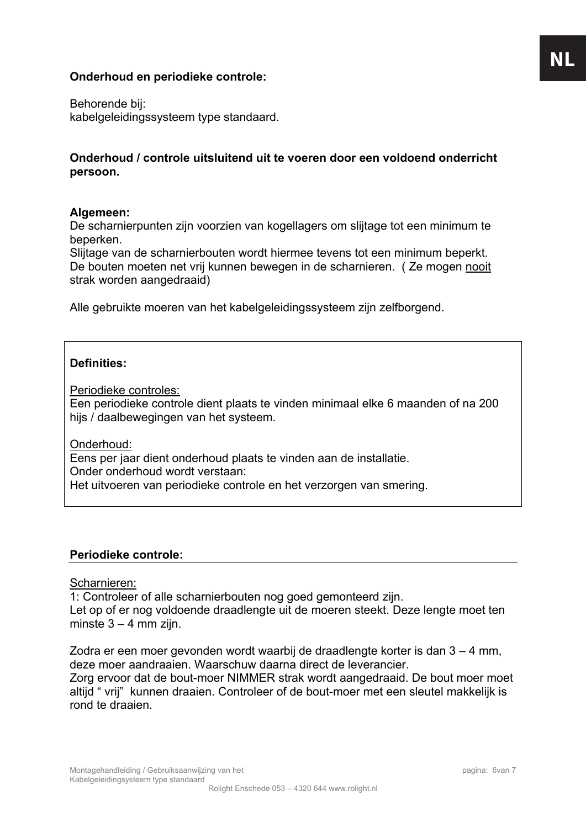#### **Onderhoud en periodieke controle:**

Behorende bij: kabelgeleidingssysteem type standaard.

#### **Onderhoud / controle uitsluitend uit te voeren door een voldoend onderricht persoon.**

#### **Algemeen:**

De scharnierpunten zijn voorzien van kogellagers om slijtage tot een minimum te beperken.

Slijtage van de scharnierbouten wordt hiermee tevens tot een minimum beperkt. De bouten moeten net vrij kunnen bewegen in de scharnieren. ( Ze mogen nooit strak worden aangedraaid)

Alle gebruikte moeren van het kabelgeleidingssysteem zijn zelfborgend.

#### **Definities:**

Periodieke controles:

Een periodieke controle dient plaats te vinden minimaal elke 6 maanden of na 200 hijs / daalbewegingen van het systeem.

Onderhoud:

Eens per jaar dient onderhoud plaats te vinden aan de installatie. Onder onderhoud wordt verstaan: Het uitvoeren van periodieke controle en het verzorgen van smering.

#### **Periodieke controle:**

Scharnieren:

1: Controleer of alle scharnierbouten nog goed gemonteerd zijn. Let op of er nog voldoende draadlengte uit de moeren steekt. Deze lengte moet ten minste  $3 - 4$  mm zijn.

Zodra er een moer gevonden wordt waarbij de draadlengte korter is dan 3 – 4 mm, deze moer aandraaien. Waarschuw daarna direct de leverancier.

Zorg ervoor dat de bout-moer NIMMER strak wordt aangedraaid. De bout moer moet altijd " vrij" kunnen draaien. Controleer of de bout-moer met een sleutel makkelijk is rond te draaien.